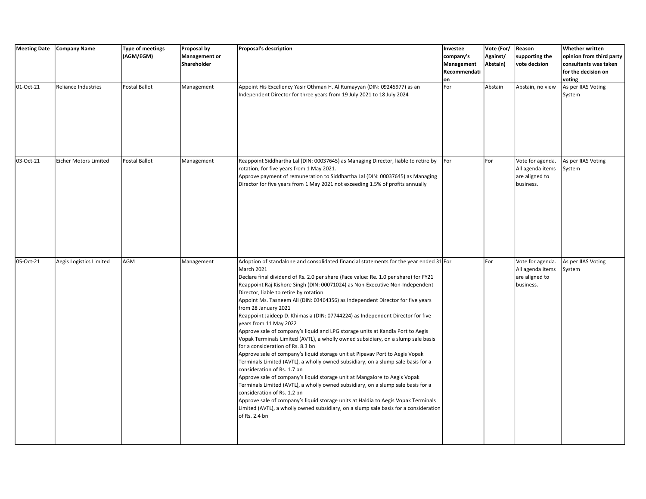| <b>Meeting Date</b><br>01-Oct-21 | <b>Company Name</b><br>Reliance Industries | <b>Type of meetings</b><br>(AGM/EGM)<br><b>Postal Ballot</b> | Proposal by<br><b>Management or</b><br>Shareholder<br>Management | Proposal's description<br>Appoint His Excellency Yasir Othman H. Al Rumayyan (DIN: 09245977) as an<br>Independent Director for three years from 19 July 2021 to 18 July 2024                                                                                                                                                                                                                                                                                                                                                                                                                                                                                                                                                                                                                                                                                                                                                                                                                                                                                                                                                                                                                                                                                                                                                                             | Investee<br>company's<br>Management<br>Recommendati<br> on<br>For | Vote (For/<br>Against/<br>Abstain)<br>Abstain | Reason<br>supporting the<br>vote decision<br>Abstain, no view       | <b>Whether written</b><br>opinion from third party<br>consultants was taken<br>for the decision on<br>voting<br>As per IIAS Voting<br>System |
|----------------------------------|--------------------------------------------|--------------------------------------------------------------|------------------------------------------------------------------|----------------------------------------------------------------------------------------------------------------------------------------------------------------------------------------------------------------------------------------------------------------------------------------------------------------------------------------------------------------------------------------------------------------------------------------------------------------------------------------------------------------------------------------------------------------------------------------------------------------------------------------------------------------------------------------------------------------------------------------------------------------------------------------------------------------------------------------------------------------------------------------------------------------------------------------------------------------------------------------------------------------------------------------------------------------------------------------------------------------------------------------------------------------------------------------------------------------------------------------------------------------------------------------------------------------------------------------------------------|-------------------------------------------------------------------|-----------------------------------------------|---------------------------------------------------------------------|----------------------------------------------------------------------------------------------------------------------------------------------|
|                                  |                                            |                                                              |                                                                  |                                                                                                                                                                                                                                                                                                                                                                                                                                                                                                                                                                                                                                                                                                                                                                                                                                                                                                                                                                                                                                                                                                                                                                                                                                                                                                                                                          |                                                                   |                                               |                                                                     |                                                                                                                                              |
| 03-Oct-21                        | <b>Eicher Motors Limited</b>               | Postal Ballot                                                | Management                                                       | Reappoint Siddhartha Lal (DIN: 00037645) as Managing Director, liable to retire by<br>rotation, for five years from 1 May 2021.<br>Approve payment of remuneration to Siddhartha Lal (DIN: 00037645) as Managing<br>Director for five years from 1 May 2021 not exceeding 1.5% of profits annually                                                                                                                                                                                                                                                                                                                                                                                                                                                                                                                                                                                                                                                                                                                                                                                                                                                                                                                                                                                                                                                       | For                                                               | For                                           | Vote for agenda.<br>All agenda items<br>are aligned to<br>business. | As per IIAS Voting<br>System                                                                                                                 |
| 05-Oct-21                        | Aegis Logistics Limited                    | AGM                                                          | Management                                                       | Adoption of standalone and consolidated financial statements for the year ended 31 For<br>March 2021<br>Declare final dividend of Rs. 2.0 per share (Face value: Re. 1.0 per share) for FY21<br>Reappoint Raj Kishore Singh (DIN: 00071024) as Non-Executive Non-Independent<br>Director, liable to retire by rotation<br>Appoint Ms. Tasneem Ali (DIN: 03464356) as Independent Director for five years<br>from 28 January 2021<br>Reappoint Jaideep D. Khimasia (DIN: 07744224) as Independent Director for five<br>years from 11 May 2022<br>Approve sale of company's liquid and LPG storage units at Kandla Port to Aegis<br>Vopak Terminals Limited (AVTL), a wholly owned subsidiary, on a slump sale basis<br>for a consideration of Rs. 8.3 bn<br>Approve sale of company's liquid storage unit at Pipavav Port to Aegis Vopak<br>Terminals Limited (AVTL), a wholly owned subsidiary, on a slump sale basis for a<br>consideration of Rs. 1.7 bn<br>Approve sale of company's liquid storage unit at Mangalore to Aegis Vopak<br>Terminals Limited (AVTL), a wholly owned subsidiary, on a slump sale basis for a<br>consideration of Rs. 1.2 bn<br>Approve sale of company's liquid storage units at Haldia to Aegis Vopak Terminals<br>Limited (AVTL), a wholly owned subsidiary, on a slump sale basis for a consideration<br>of Rs. 2.4 bn |                                                                   | For                                           | Vote for agenda.<br>All agenda items<br>are aligned to<br>business. | As per IIAS Voting<br>System                                                                                                                 |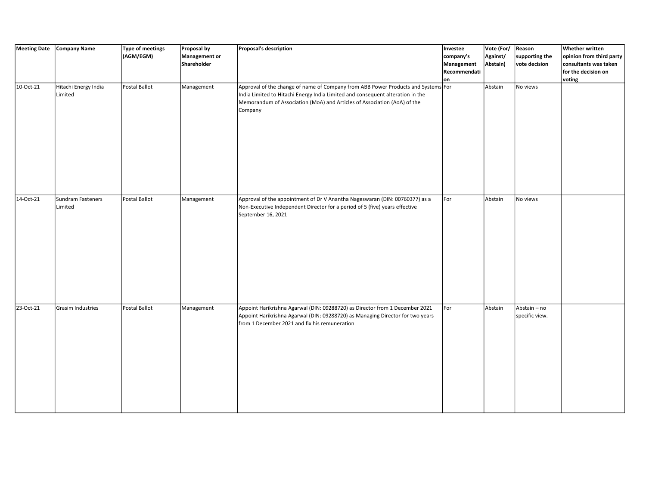|                                | Meeting Date Company Name       | Type of meetings<br>(AGM/EGM) | Proposal by<br><b>Management or</b><br>Shareholder | Proposal's description                                                                                                                                                                                                                                     | Investee<br>company's<br>Management<br>Recommendati<br>on | Vote (For/<br>Against/<br>Abstain) | Reason<br>supporting the<br>vote decision | <b>Whether written</b><br>opinion from third party<br>consultants was taken<br>for the decision on<br>voting |
|--------------------------------|---------------------------------|-------------------------------|----------------------------------------------------|------------------------------------------------------------------------------------------------------------------------------------------------------------------------------------------------------------------------------------------------------------|-----------------------------------------------------------|------------------------------------|-------------------------------------------|--------------------------------------------------------------------------------------------------------------|
| 10-Oct-21                      | Hitachi Energy India<br>Limited | Postal Ballot                 | Management                                         | Approval of the change of name of Company from ABB Power Products and Systems For<br>India Limited to Hitachi Energy India Limited and consequent alteration in the<br>Memorandum of Association (MoA) and Articles of Association (AoA) of the<br>Company |                                                           | Abstain                            | No views                                  |                                                                                                              |
| $\overline{14}$ -Oct-21        | Sundram Fasteners<br>Limited    | Postal Ballot                 | Management                                         | Approval of the appointment of Dr V Anantha Nageswaran (DIN: 00760377) as a<br>Non-Executive Independent Director for a period of 5 (five) years effective<br>September 16, 2021                                                                           | For                                                       | Abstain                            | No views                                  |                                                                                                              |
| $\overline{23\text{-}0}$ ct-21 | Grasim Industries               | Postal Ballot                 | Management                                         | Appoint Harikrishna Agarwal (DIN: 09288720) as Director from 1 December 2021<br>Appoint Harikrishna Agarwal (DIN: 09288720) as Managing Director for two years<br>from 1 December 2021 and fix his remuneration                                            | For                                                       | Abstain                            | Abstain - no<br>specific view.            |                                                                                                              |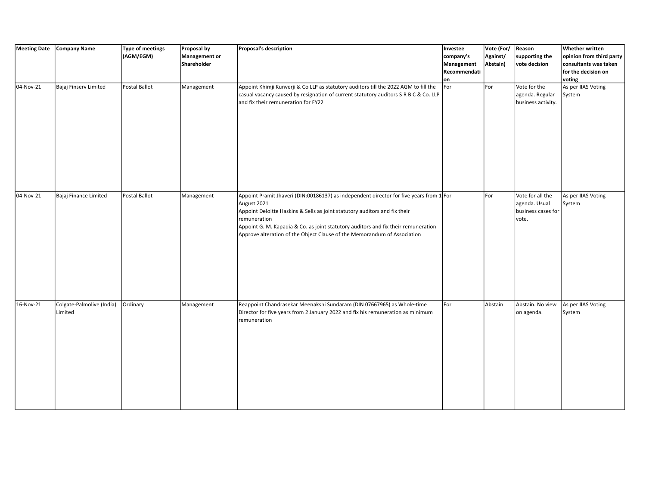|                     | Meeting Date Company Name            | Type of meetings<br>(AGM/EGM) | Proposal by<br><b>Management or</b><br>Shareholder | Proposal's description                                                                                                                                                                                                                                                                                                                                                 | Investee<br>company's<br>Management<br>Recommendati | Vote (For/<br>Against/<br>Abstain) | Reason<br>supporting the<br>vote decision                        | <b>Whether written</b><br>opinion from third party<br>consultants was taken<br>for the decision on |
|---------------------|--------------------------------------|-------------------------------|----------------------------------------------------|------------------------------------------------------------------------------------------------------------------------------------------------------------------------------------------------------------------------------------------------------------------------------------------------------------------------------------------------------------------------|-----------------------------------------------------|------------------------------------|------------------------------------------------------------------|----------------------------------------------------------------------------------------------------|
| 04-Nov-21           | Bajaj Finserv Limited                | Postal Ballot                 | Management                                         | Appoint Khimji Kunverji & Co LLP as statutory auditors till the 2022 AGM to fill the<br>casual vacancy caused by resignation of current statutory auditors S R B C & Co. LLP<br>and fix their remuneration for FY22                                                                                                                                                    | on<br> For                                          | For                                | Vote for the<br>agenda. Regular<br>business activity.            | voting<br>As per IIAS Voting<br>System                                                             |
|                     |                                      |                               |                                                    |                                                                                                                                                                                                                                                                                                                                                                        |                                                     |                                    |                                                                  |                                                                                                    |
| $\sqrt{04-N}$ ov-21 | Bajaj Finance Limited                | Postal Ballot                 | Management                                         | Appoint Pramit Jhaveri (DIN:00186137) as independent director for five years from 1 For<br>August 2021<br>Appoint Deloitte Haskins & Sells as joint statutory auditors and fix their<br>remuneration<br>Appoint G. M. Kapadia & Co. as joint statutory auditors and fix their remuneration<br>Approve alteration of the Object Clause of the Memorandum of Association |                                                     | For                                | Vote for all the<br>agenda. Usual<br>business cases for<br>vote. | As per IIAS Voting<br>System                                                                       |
| 16-Nov-21           | Colgate-Palmolive (India)<br>Limited | Ordinary                      | Management                                         | Reappoint Chandrasekar Meenakshi Sundaram (DIN 07667965) as Whole-time<br>Director for five years from 2 January 2022 and fix his remuneration as minimum<br>remuneration                                                                                                                                                                                              | For                                                 | Abstain                            | Abstain. No view<br>on agenda.                                   | As per IIAS Voting<br>System                                                                       |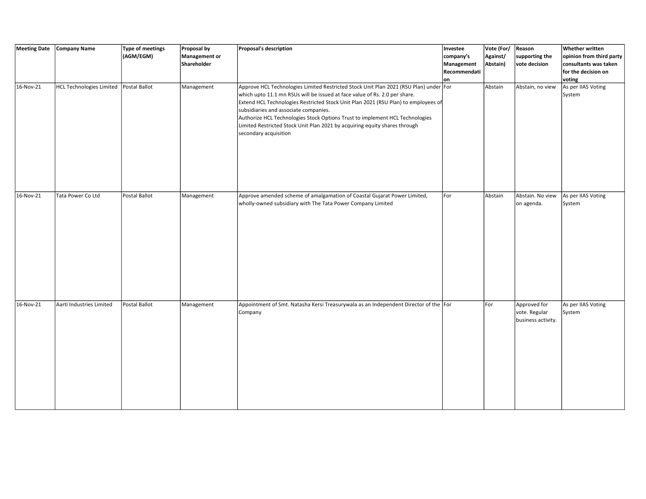| <b>Meeting Date</b> | Company Name                             | Type of meetings<br>(AGM/EGM) | Proposal by<br>Management or<br>Shareholder | Proposal's description                                                                                                                                                                                                                                                                                                                                                                                                                                                                    | Investee<br>company's<br>Management<br>Recommendati<br> on | Vote (For/<br>Against/<br>Abstain) | Reason<br>supporting the<br>vote decision           | <b>Whether written</b><br>opinion from third party<br>consultants was taken<br>for the decision on<br>voting |
|---------------------|------------------------------------------|-------------------------------|---------------------------------------------|-------------------------------------------------------------------------------------------------------------------------------------------------------------------------------------------------------------------------------------------------------------------------------------------------------------------------------------------------------------------------------------------------------------------------------------------------------------------------------------------|------------------------------------------------------------|------------------------------------|-----------------------------------------------------|--------------------------------------------------------------------------------------------------------------|
| 16-Nov-21           | HCL Technologies Limited   Postal Ballot |                               | Management                                  | Approve HCL Technologies Limited Restricted Stock Unit Plan 2021 (RSU Plan) under For<br>which upto 11.1 mn RSUs will be issued at face value of Rs. 2.0 per share.<br>Extend HCL Technologies Restricted Stock Unit Plan 2021 (RSU Plan) to employees of<br>subsidiaries and associate companies.<br>Authorize HCL Technologies Stock Options Trust to implement HCL Technologies<br>Limited Restricted Stock Unit Plan 2021 by acquiring equity shares through<br>secondary acquisition |                                                            | Abstain                            | Abstain, no view                                    | As per IIAS Voting<br>System                                                                                 |
| 16-Nov-21           | Tata Power Co Ltd                        | Postal Ballot                 | Management                                  | Approve amended scheme of amalgamation of Coastal Gujarat Power Limited,<br>wholly-owned subsidiary with The Tata Power Company Limited                                                                                                                                                                                                                                                                                                                                                   | For                                                        | Abstain                            | Abstain. No view<br>on agenda.                      | As per IIAS Voting<br>System                                                                                 |
| 16-Nov-21           | Aarti Industries Limited                 | Postal Ballot                 | Management                                  | Appointment of Smt. Natasha Kersi Treasurywala as an Independent Director of the For<br>Company                                                                                                                                                                                                                                                                                                                                                                                           |                                                            | For                                | Approved for<br>vote. Regular<br>business activity. | As per IIAS Voting<br>System                                                                                 |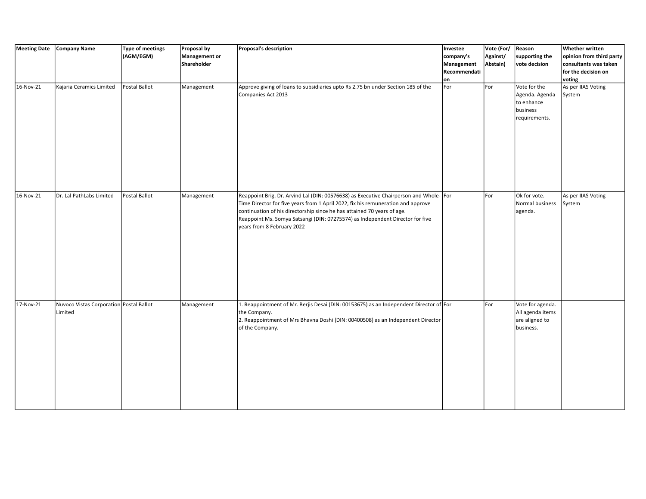| <b>Meeting Date</b> | <b>Company Name</b>                                | Type of meetings<br>(AGM/EGM) | Proposal by<br><b>Management or</b><br>Shareholder | Proposal's description                                                                                                                                                                                                                                                                                                                                               | Investee<br>company's<br>Management<br>Recommendati<br><b>on</b> | Vote (For/<br>Against/<br>Abstain) | Reason<br>supporting the<br>vote decision                                 | <b>Whether written</b><br>opinion from third party<br>consultants was taken<br>for the decision on<br>voting |
|---------------------|----------------------------------------------------|-------------------------------|----------------------------------------------------|----------------------------------------------------------------------------------------------------------------------------------------------------------------------------------------------------------------------------------------------------------------------------------------------------------------------------------------------------------------------|------------------------------------------------------------------|------------------------------------|---------------------------------------------------------------------------|--------------------------------------------------------------------------------------------------------------|
| 16-Nov-21           | Kajaria Ceramics Limited                           | Postal Ballot                 | Management                                         | Approve giving of loans to subsidiaries upto Rs 2.75 bn under Section 185 of the<br>Companies Act 2013                                                                                                                                                                                                                                                               | For                                                              | For                                | Vote for the<br>Agenda. Agenda<br>to enhance<br>business<br>requirements. | As per IIAS Voting<br>System                                                                                 |
| 16-Nov-21           | Dr. Lal PathLabs Limited                           | Postal Ballot                 | Management                                         | Reappoint Brig. Dr. Arvind Lal (DIN: 00576638) as Executive Chairperson and Whole- For<br>Time Director for five years from 1 April 2022, fix his remuneration and approve<br>continuation of his directorship since he has attained 70 years of age.<br>Reappoint Ms. Somya Satsangi (DIN: 07275574) as Independent Director for five<br>years from 8 February 2022 |                                                                  | For                                | Ok for vote.<br>Normal business<br>agenda.                                | As per IIAS Voting<br>System                                                                                 |
| 17-Nov-21           | Nuvoco Vistas Corporation Postal Ballot<br>Limited |                               | Management                                         | 1. Reappointment of Mr. Berjis Desai (DIN: 00153675) as an Independent Director of For<br>the Company.<br>2. Reappointment of Mrs Bhavna Doshi (DIN: 00400508) as an Independent Director<br>of the Company.                                                                                                                                                         |                                                                  | For                                | Vote for agenda.<br>All agenda items<br>are aligned to<br>business.       |                                                                                                              |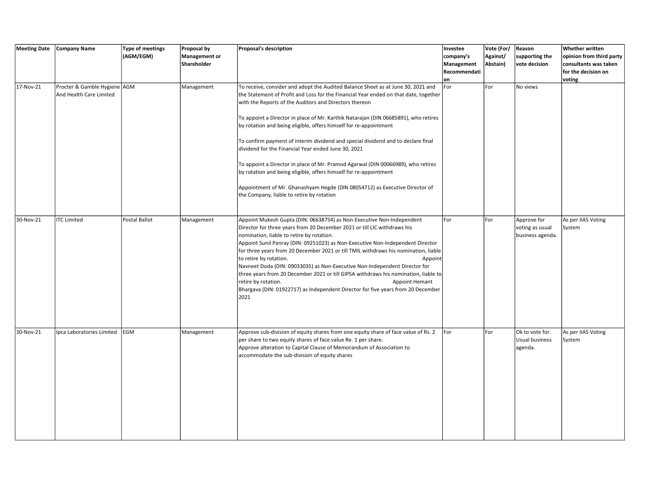| <b>Meeting Date</b> | Company Name                                            | <b>Type of meetings</b><br>(AGM/EGM) | Proposal by<br>Management or<br>Shareholder | Proposal's description                                                                                                                                                                                                                                                                                                                                                                                                                                                                                                                                                                                                                                                                                                                                                                                                         | Investee<br>company's<br>Management<br>Recommendati<br>on | Vote (For/<br>Against/<br>Abstain) | Reason<br>supporting the<br>vote decision          | <b>Whether written</b><br>opinion from third party<br>consultants was taken<br>for the decision on<br>voting |
|---------------------|---------------------------------------------------------|--------------------------------------|---------------------------------------------|--------------------------------------------------------------------------------------------------------------------------------------------------------------------------------------------------------------------------------------------------------------------------------------------------------------------------------------------------------------------------------------------------------------------------------------------------------------------------------------------------------------------------------------------------------------------------------------------------------------------------------------------------------------------------------------------------------------------------------------------------------------------------------------------------------------------------------|-----------------------------------------------------------|------------------------------------|----------------------------------------------------|--------------------------------------------------------------------------------------------------------------|
| 17-Nov-21           | Procter & Gamble Hygiene AGM<br>And Health Care Limited |                                      | Management                                  | To receive, consider and adopt the Audited Balance Sheet as at June 30, 2021 and<br>the Statement of Profit and Loss for the Financial Year ended on that date, together<br>with the Reports of the Auditors and Directors thereon<br>To appoint a Director in place of Mr. Karthik Natarajan (DIN 06685891), who retires<br>by rotation and being eligible, offers himself for re-appointment<br>To confirm payment of interim dividend and special dividend and to declare final<br>dividend for the Financial Year ended June 30, 2021<br>To appoint a Director in place of Mr. Pramod Agarwal (DIN 00066989), who retires<br>by rotation and being eligible, offers himself for re-appointment<br>Appointment of Mr. Ghanashyam Hegde (DIN 08054712) as Executive Director of<br>the Company, liable to retire by rotation | For                                                       | For                                | No views                                           |                                                                                                              |
| 30-Nov-21           | <b>ITC Limited</b>                                      | Postal Ballot                        | Management                                  | Appoint Mukesh Gupta (DIN: 06638754) as Non-Executive Non-Independent<br>Director for three years from 20 December 2021 or till LIC withdraws his<br>nomination, liable to retire by rotation.<br>Appoint Sunil Panray (DIN: 09251023) as Non-Executive Non-Independent Director<br>for three years from 20 December 2021 or till TMIL withdraws his nomination, liable<br>to retire by rotation.<br>Appoint<br>Navneet Doda (DIN: 09033035) as Non-Executive Non-Independent Director for<br>three years from 20 December 2021 or till GIPSA withdraws his nomination, liable to<br>retire by rotation.<br><b>Appoint Hemant</b><br>Bhargava (DIN: 01922717) as Independent Director for five years from 20 December<br>2021                                                                                                  | lFor                                                      | For                                | Approve for<br>voting as usual<br>business agenda. | As per IIAS Voting<br>System                                                                                 |
| 30-Nov-21           | Ipca Laboratories Limited                               | EGM                                  | Management                                  | Approve sub-division of equity shares from one equity share of face value of Rs. 2<br>per share to two equity shares of face value Re. 1 per share.<br>Approve alteration to Capital Clause of Memorandum of Association to<br>accommodate the sub-division of equity shares                                                                                                                                                                                                                                                                                                                                                                                                                                                                                                                                                   | For                                                       | For                                | Ok to vote for.<br>Usual business<br>agenda.       | As per IIAS Voting<br>System                                                                                 |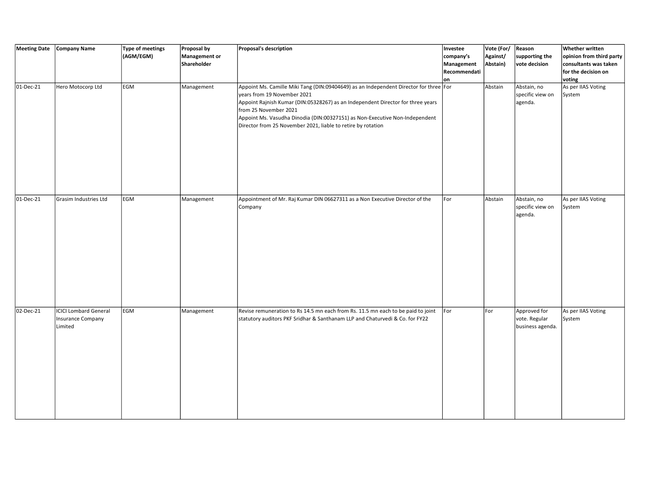|           | Meeting Date Company Name                                           | Type of meetings<br>(AGM/EGM) | Proposal by<br><b>Management or</b><br>Shareholder | Proposal's description                                                                                                                                                                                                                                                                                                                                                          | Investee<br>company's<br>Management<br>Recommendati<br>lon | Vote (For/<br>Against/<br>Abstain) | Reason<br>supporting the<br>vote decision         | <b>Whether written</b><br>opinion from third party<br>consultants was taken<br>for the decision on<br>voting |
|-----------|---------------------------------------------------------------------|-------------------------------|----------------------------------------------------|---------------------------------------------------------------------------------------------------------------------------------------------------------------------------------------------------------------------------------------------------------------------------------------------------------------------------------------------------------------------------------|------------------------------------------------------------|------------------------------------|---------------------------------------------------|--------------------------------------------------------------------------------------------------------------|
| 01-Dec-21 | Hero Motocorp Ltd                                                   | EGM                           | Management                                         | Appoint Ms. Camille Miki Tang (DIN:09404649) as an Independent Director for three For<br>years from 19 November 2021<br>Appoint Rajnish Kumar (DIN:05328267) as an Independent Director for three years<br>from 25 November 2021<br>Appoint Ms. Vasudha Dinodia (DIN:00327151) as Non-Executive Non-Independent<br>Director from 25 November 2021, liable to retire by rotation |                                                            | Abstain                            | Abstain, no<br>specific view on<br>agenda.        | As per IIAS Voting<br>System                                                                                 |
| 01-Dec-21 | Grasim Industries Ltd                                               | EGM                           | Management                                         | Appointment of Mr. Raj Kumar DIN 06627311 as a Non Executive Director of the<br>Company                                                                                                                                                                                                                                                                                         | For                                                        | Abstain                            | Abstain, no<br>specific view on<br>agenda.        | As per IIAS Voting<br>System                                                                                 |
| 02-Dec-21 | <b>ICICI Lombard General</b><br><b>Insurance Company</b><br>Limited | EGM                           | Management                                         | Revise remuneration to Rs 14.5 mn each from Rs. 11.5 mn each to be paid to joint<br>statutory auditors PKF Sridhar & Santhanam LLP and Chaturvedi & Co. for FY22                                                                                                                                                                                                                | For                                                        | For                                | Approved for<br>vote. Regular<br>business agenda. | As per IIAS Voting<br>System                                                                                 |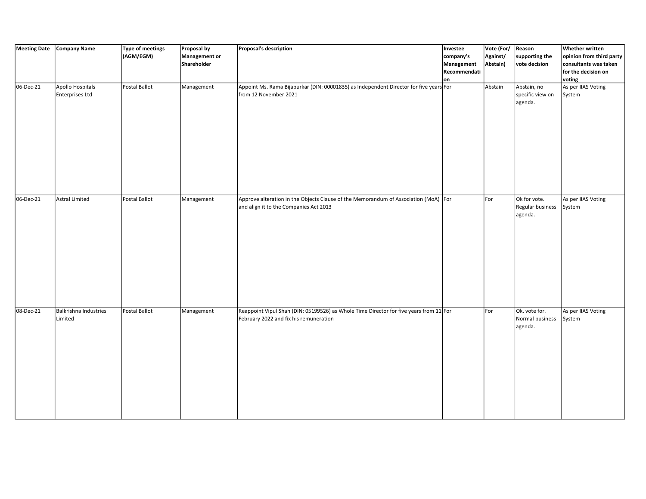|                            | Meeting Date Company Name           | Type of meetings<br>(AGM/EGM) | Proposal by<br><b>Management or</b><br>Shareholder | Proposal's description                                                                                                           | <b>Investee</b><br>company's<br>Management<br>Recommendati<br> on | Vote (For/<br>Against/<br>Abstain) | Reason<br>supporting the<br>vote decision   | <b>Whether written</b><br>opinion from third party<br>consultants was taken<br>for the decision on<br>voting |
|----------------------------|-------------------------------------|-------------------------------|----------------------------------------------------|----------------------------------------------------------------------------------------------------------------------------------|-------------------------------------------------------------------|------------------------------------|---------------------------------------------|--------------------------------------------------------------------------------------------------------------|
| $\sqrt{06}$ -Dec-21        | Apollo Hospitals<br>Enterprises Ltd | Postal Ballot                 | Management                                         | Appoint Ms. Rama Bijapurkar (DIN: 00001835) as Independent Director for five years For<br>from 12 November 2021                  |                                                                   | Abstain                            | Abstain, no<br>specific view on<br>agenda.  | As per IIAS Voting<br>System                                                                                 |
| $\overline{06}$ -Dec-21    | <b>Astral Limited</b>               | Postal Ballot                 | Management                                         | Approve alteration in the Objects Clause of the Memorandum of Association (MoA) For<br>and align it to the Companies Act 2013    |                                                                   | For                                | Ok for vote.<br>Regular business<br>agenda. | As per IIAS Voting<br>System                                                                                 |
| $\overline{08 - Dec - 21}$ | Balkrishna Industries<br>Limited    | Postal Ballot                 | Management                                         | Reappoint Vipul Shah (DIN: 05199526) as Whole Time Director for five years from 11 For<br>February 2022 and fix his remuneration |                                                                   | For                                | Ok, vote for.<br>Normal business<br>agenda. | As per IIAS Voting<br>System                                                                                 |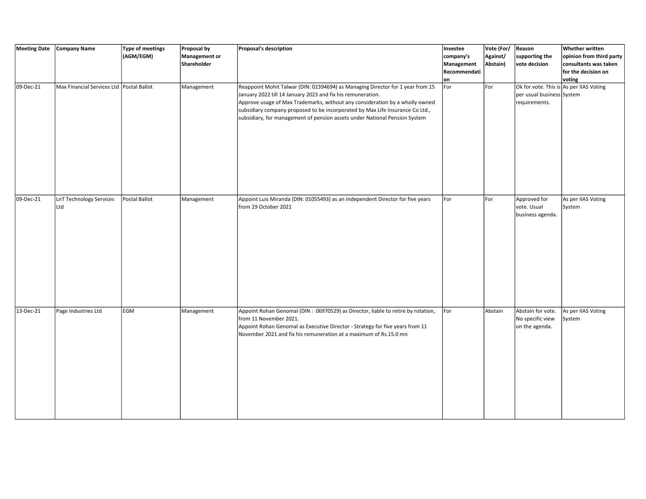| <b>Meeting Date</b> | Company Name                               | Type of meetings<br>(AGM/EGM) | Proposal by<br><b>Management or</b><br>Shareholder | Proposal's description                                                                                                                                                                                                                                                                                                                                                                       | Investee<br>company's<br>Management<br>Recommendati | Vote (For/ Reason<br>Against/<br>Abstain) | supporting the<br>vote decision                                                       | <b>Whether written</b><br>opinion from third party<br>consultants was taken<br>for the decision on |
|---------------------|--------------------------------------------|-------------------------------|----------------------------------------------------|----------------------------------------------------------------------------------------------------------------------------------------------------------------------------------------------------------------------------------------------------------------------------------------------------------------------------------------------------------------------------------------------|-----------------------------------------------------|-------------------------------------------|---------------------------------------------------------------------------------------|----------------------------------------------------------------------------------------------------|
| $\sqrt{09}$ -Dec-21 | Max Financial Services Ltd   Postal Ballot |                               | Management                                         | Reappoint Mohit Talwar (DIN: 02394694) as Managing Director for 1 year from 15<br>January 2022 till 14 January 2023 and fix his remuneration.<br>Approve usage of Max Trademarks, without any consideration by a wholly owned<br>subsidiary company proposed to be incorporated by Max Life Insurance Co Ltd.,<br>subsidiary, for management of pension assets under National Pension System | on<br>For                                           | For                                       | Ok for vote. This is As per IIAS Voting<br>per usual business System<br>requirements. | voting                                                                                             |
| 09-Dec-21           | <b>LnT Technology Services</b><br>Ltd      | Postal Ballot                 | Management                                         | Appoint Luis Miranda (DIN: 01055493) as an Independent Director for five years<br>from 19 October 2021                                                                                                                                                                                                                                                                                       | For                                                 | For                                       | Approved for<br>vote. Usual<br>business agenda.                                       | As per IIAS Voting<br>System                                                                       |
| 13-Dec-21           | Page Industries Ltd                        | EGM                           | Management                                         | Appoint Rohan Genomal (DIN : 06970529) as Director, liable to retire by rotation,<br>from 11 November 2021.<br>Appoint Rohan Genomal as Executive Director - Strategy for five years from 11<br>November 2021 and fix his remuneration at a maximum of Rs.15.0 mn                                                                                                                            | For                                                 | Abstain                                   | Abstain for vote.<br>No specific view<br>on the agenda.                               | As per IIAS Voting<br>System                                                                       |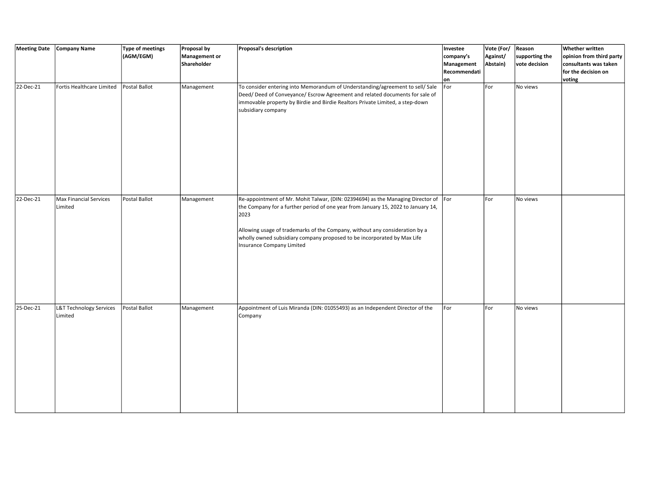|             | Meeting Date Company Name                | Type of meetings<br>(AGM/EGM) | Proposal by<br>Management or<br>Shareholder | Proposal's description                                                                                                                                                                                                                                                                                                                                                  | Investee<br>company's<br>Management<br>Recommendati<br> on | Vote (For/<br>Against/<br>Abstain) | Reason<br>supporting the<br>vote decision | <b>Whether written</b><br>opinion from third party<br>consultants was taken<br>for the decision on<br>voting |
|-------------|------------------------------------------|-------------------------------|---------------------------------------------|-------------------------------------------------------------------------------------------------------------------------------------------------------------------------------------------------------------------------------------------------------------------------------------------------------------------------------------------------------------------------|------------------------------------------------------------|------------------------------------|-------------------------------------------|--------------------------------------------------------------------------------------------------------------|
| 22-Dec-21   | Fortis Healthcare Limited                | Postal Ballot                 | Management                                  | To consider entering into Memorandum of Understanding/agreement to sell/ Sale<br>Deed/Deed of Conveyance/Escrow Agreement and related documents for sale of<br>immovable property by Birdie and Birdie Realtors Private Limited, a step-down<br>subsidiary company                                                                                                      | For                                                        | For                                | No views                                  |                                                                                                              |
| $22-Dec-21$ | <b>Max Financial Services</b><br>Limited | Postal Ballot                 | Management                                  | Re-appointment of Mr. Mohit Talwar, (DIN: 02394694) as the Managing Director of For<br>the Company for a further period of one year from January 15, 2022 to January 14,<br>2023<br>Allowing usage of trademarks of the Company, without any consideration by a<br>wholly owned subsidiary company proposed to be incorporated by Max Life<br>Insurance Company Limited |                                                            | For                                | No views                                  |                                                                                                              |
| 25-Dec-21   | L&T Technology Services<br>Limited       | Postal Ballot                 | Management                                  | Appointment of Luis Miranda (DIN: 01055493) as an Independent Director of the<br>Company                                                                                                                                                                                                                                                                                | For                                                        | For                                | No views                                  |                                                                                                              |